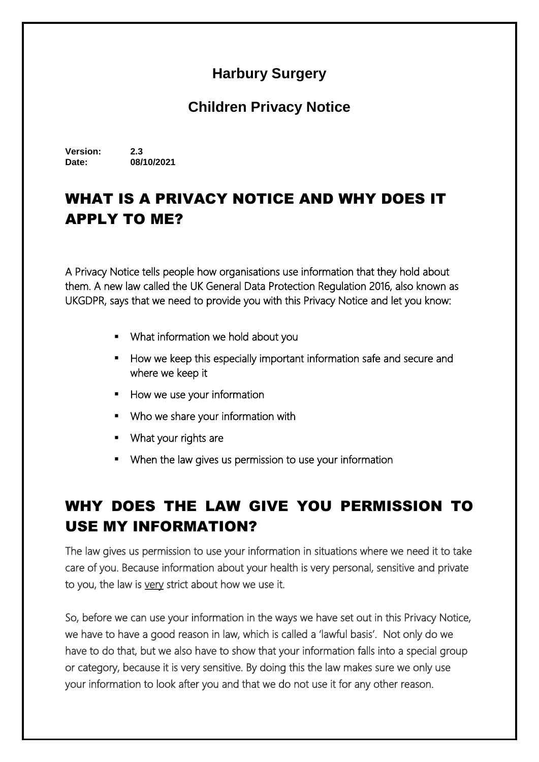#### **Harbury Surgery**

#### **Children Privacy Notice**

**Version: 2.3 Date: 08/10/2021**

# WHAT IS A PRIVACY NOTICE AND WHY DOES IT APPLY TO ME?

A Privacy Notice tells people how organisations use information that they hold about them. A new law called the UK General Data Protection Regulation 2016, also known as UKGDPR, says that we need to provide you with this Privacy Notice and let you know:

- What information we hold about you
- How we keep this especially important information safe and secure and where we keep it
- **How we use your information**
- Who we share your information with
- **What your rights are**
- When the law gives us permission to use your information

## WHY DOES THE LAW GIVE YOU PERMISSION TO USE MY INFORMATION?

The law gives us permission to use your information in situations where we need it to take care of you. Because information about your health is very personal, sensitive and private to you, the law is very strict about how we use it.

So, before we can use your information in the ways we have set out in this Privacy Notice, we have to have a good reason in law, which is called a 'lawful basis'. Not only do we have to do that, but we also have to show that your information falls into a special group or category, because it is very sensitive. By doing this the law makes sure we only use your information to look after you and that we do not use it for any other reason.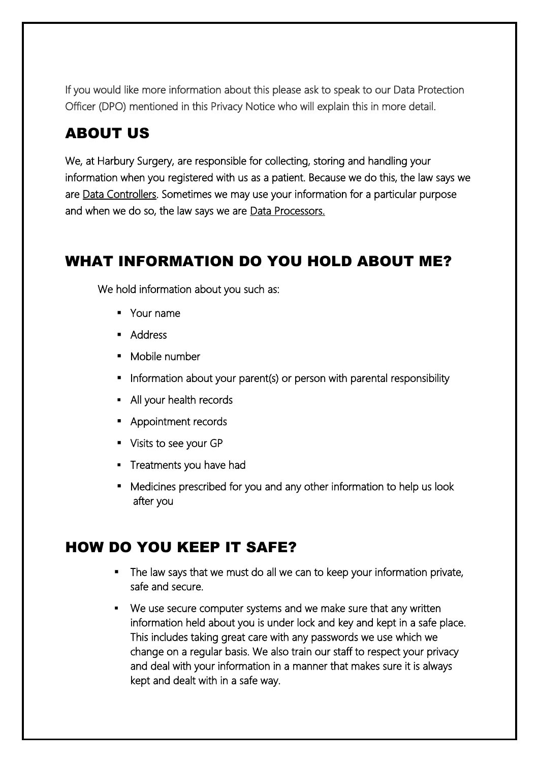If you would like more information about this please ask to speak to our Data Protection Officer (DPO) mentioned in this Privacy Notice who will explain this in more detail.

### ABOUT US

We, at Harbury Surgery, are responsible for collecting, storing and handling your information when you registered with us as a patient. Because we do this, the law says we are Data Controllers. Sometimes we may use your information for a particular purpose and when we do so, the law says we are Data Processors.

### WHAT INFORMATION DO YOU HOLD ABOUT ME?

We hold information about you such as:

- **Nour name**
- **Address**
- Mobile number
- **Information about your parent(s) or person with parental responsibility**
- All your health records
- **Appointment records**
- **Visits to see your GP**
- **Treatments you have had**
- Medicines prescribed for you and any other information to help us look after you

### HOW DO YOU KEEP IT SAFE?

- The law says that we must do all we can to keep your information private, safe and secure.
- We use secure computer systems and we make sure that any written information held about you is under lock and key and kept in a safe place. This includes taking great care with any passwords we use which we change on a regular basis. We also train our staff to respect your privacy and deal with your information in a manner that makes sure it is always kept and dealt with in a safe way.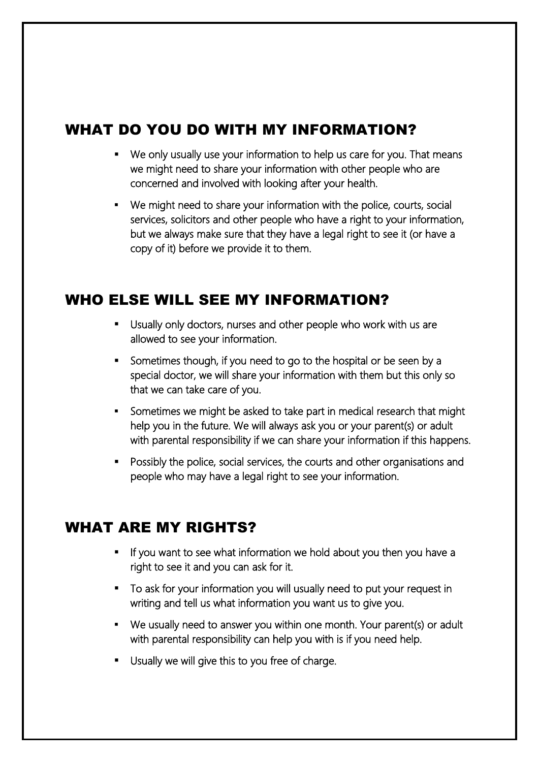## WHAT DO YOU DO WITH MY INFORMATION?

- We only usually use your information to help us care for you. That means we might need to share your information with other people who are concerned and involved with looking after your health.
- We might need to share your information with the police, courts, social services, solicitors and other people who have a right to your information, but we always make sure that they have a legal right to see it (or have a copy of it) before we provide it to them.

### WHO ELSE WILL SEE MY INFORMATION?

- Usually only doctors, nurses and other people who work with us are allowed to see your information.
- Sometimes though, if you need to go to the hospital or be seen by a special doctor, we will share your information with them but this only so that we can take care of you.
- Sometimes we might be asked to take part in medical research that might help you in the future. We will always ask you or your parent(s) or adult with parental responsibility if we can share your information if this happens.
- Possibly the police, social services, the courts and other organisations and people who may have a legal right to see your information.

### WHAT ARE MY RIGHTS?

- If you want to see what information we hold about you then you have a right to see it and you can ask for it.
- To ask for your information you will usually need to put your request in writing and tell us what information you want us to give you.
- We usually need to answer you within one month. Your parent(s) or adult with parental responsibility can help you with is if you need help.
- Usually we will give this to you free of charge.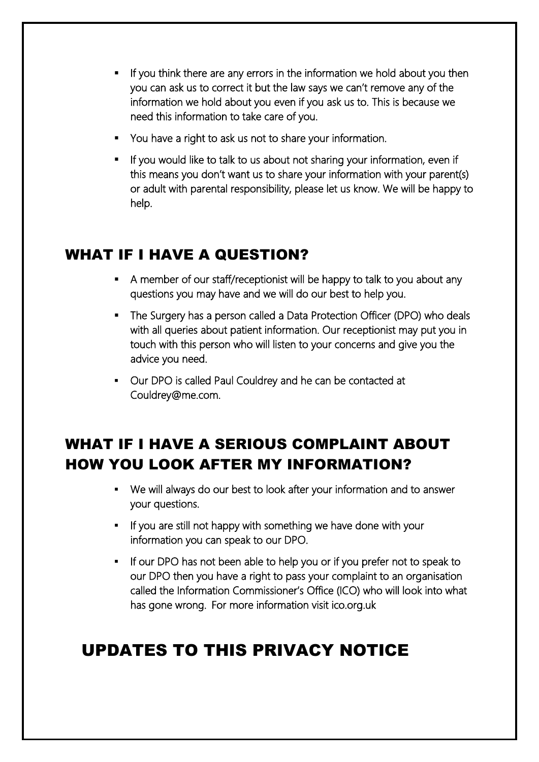- If you think there are any errors in the information we hold about you then you can ask us to correct it but the law says we can't remove any of the information we hold about you even if you ask us to. This is because we need this information to take care of you.
- You have a right to ask us not to share your information.
- If you would like to talk to us about not sharing your information, even if this means you don't want us to share your information with your parent(s) or adult with parental responsibility, please let us know. We will be happy to help.

### WHAT IF I HAVE A QUESTION?

- A member of our staff/receptionist will be happy to talk to you about any questions you may have and we will do our best to help you.
- The Surgery has a person called a Data Protection Officer (DPO) who deals with all queries about patient information. Our receptionist may put you in touch with this person who will listen to your concerns and give you the advice you need.
- Our DPO is called Paul Couldrey and he can be contacted at Couldrey@me.com.

# WHAT IF I HAVE A SERIOUS COMPLAINT ABOUT HOW YOU LOOK AFTER MY INFORMATION?

- We will always do our best to look after your information and to answer your questions.
- If you are still not happy with something we have done with your information you can speak to our DPO.
- If our DPO has not been able to help you or if you prefer not to speak to our DPO then you have a right to pass your complaint to an organisation called the Information Commissioner's Office (ICO) who will look into what has gone wrong. For more information visit ico.org.uk

# UPDATES TO THIS PRIVACY NOTICE